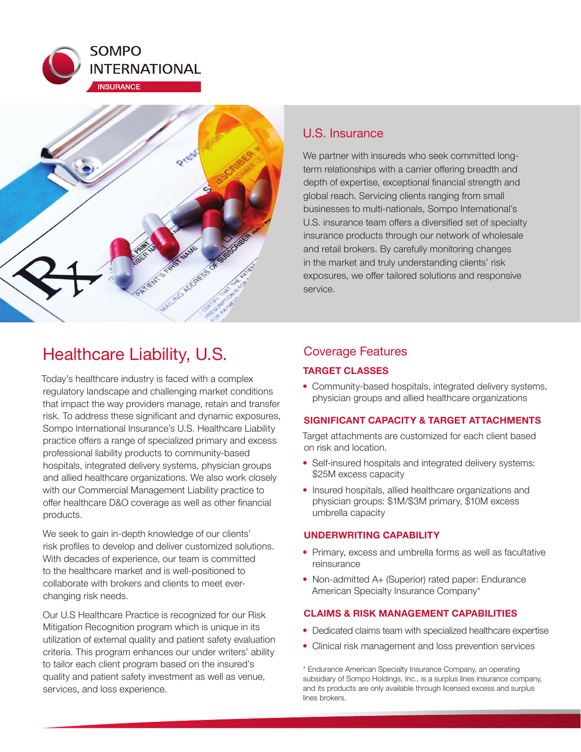



## U.S. Insurance

We partner with insureds who seek committed longterm relationships with a carrier offering breadth and depth of expertise, exceptional financial strength and global reach. Servicing clients ranging from small businesses to multi-nationals, Sompo International's U.S. insurance team offers a diversified set of specialty insurance products through our network of wholesale and retail brokers. By carefully monitoring changes in the market and truly understanding clients' risk exposures, we offer tailored solutions and responsive service.

# Healthcare Liability, U.S.

Today's healthcare industry is faced with a complex regulatory landscape and challenging market conditions that impact the way providers manage, retain and transfer risk. To address these significant and dynamic exposures, Sompo International Insurance's U.S. Healthcare Liability practice offers a range of specialized primary and excess professional liability products to community-based hospitals, integrated delivery systems, physician groups and allied healthcare organizations. We also work closely with our Commercial Management Liability practice to offer healthcare D&O coverage as well as other financial products.

We seek to gain in-depth knowledge of our clients' risk profiles to develop and deliver customized solutions. With decades of experience, our team is committed to the healthcare market and is well-positioned to collaborate with brokers and clients to meet everchanging risk needs.

Our U.S Healthcare Practice is recognized for our Risk Mitigation Recognition program which is unique in its utilization of external quality and patient safety evaluation criteria. This program enhances our under writers' ability to tailor each client program based on the insured's quality and patient safety investment as well as venue, services, and loss experience.

## Coverage Features

## **TARGET CLASSES**

• Community-based hospitals, integrated delivery systems, physician groups and allied healthcare organizations

## **SIGNIFICANT CAPACITY & TARGET ATTACHMENTS**

Target attachments are customized for each client based on risk and location.

- Self-insured hospitals and integrated delivery systems: \$25M excess capacity
- Insured hospitals, allied healthcare organizations and physician groups: \$1M/\$3M primary, \$10M excess umbrella capacity

## **UNDERWRITING CAPABILITY**

- Primary, excess and umbrella forms as well as facultative reinsurance
- Non-admitted A+ (Superior) rated paper: Endurance American Specialty Insurance Company\*

## **CLAIMS & RISK MANAGEMENT CAPABILITIES**

- Dedicated claims team with specialized healthcare expertise
- Clinical risk management and loss prevention services

\* Endurance American Specialty Insurance Company, an operating subsidiary of Sompo Holdings, Inc., is a surplus lines insurance company, and its products are only available through licensed excess and surplus lines brokers.